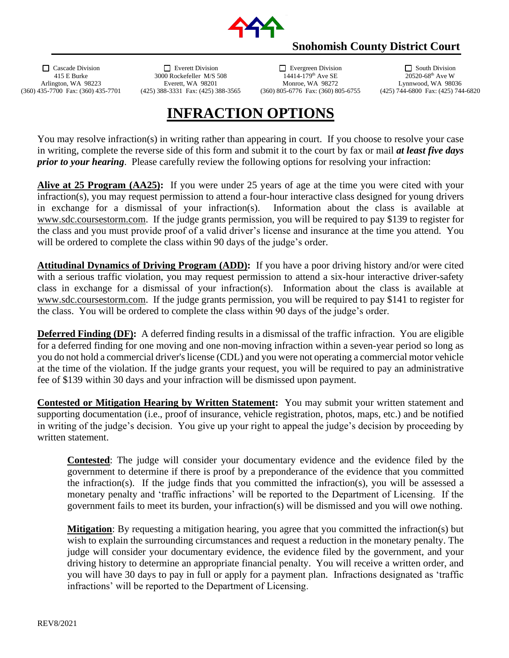

## **Snohomish County District Court**

 Cascade Division Everett Division Evergreen Division South Division 3000 Rockefeller M/S 508 Arlington, WA 98223 Everett, WA 98201 Monroe, WA 98272 Lynnwood, WA 98036<br>35-7700 Fax: (360) 435-7701 (425) 388-3331 Fax: (425) 388-3565 (360) 805-6776 Fax: (360) 805-6755 (425) 744-6800 Fax: (425) 744 (360) 435-7700 Fax: (360) 435-7701 (425) 388-3331 Fax: (425) 388-3565 (360) 805-6776 Fax: (360) 805-6755 (425) 744-6800 Fax: (425) 744-6820

## **INFRACTION OPTIONS**

You may resolve infraction(s) in writing rather than appearing in court. If you choose to resolve your case in writing, complete the reverse side of this form and submit it to the court by fax or mail *at least five days prior to your hearing*. Please carefully review the following options for resolving your infraction:

**Alive at 25 Program (AA25):** If you were under 25 years of age at the time you were cited with your infraction(s), you may request permission to attend a four-hour interactive class designed for young drivers in exchange for a dismissal of your infraction(s). Information about the class is available at [www.sdc.coursestorm.com.](http://www.sdc.coursestorm.com/) If the judge grants permission, you will be required to pay \$139 to register for the class and you must provide proof of a valid driver's license and insurance at the time you attend. You will be ordered to complete the class within 90 days of the judge's order.

**Attitudinal Dynamics of Driving Program (ADD):** If you have a poor driving history and/or were cited with a serious traffic violation, you may request permission to attend a six-hour interactive driver-safety class in exchange for a dismissal of your infraction(s). Information about the class is available at [www.sdc.coursestorm.com.](http://www.sdc.coursestorm.com/) If the judge grants permission, you will be required to pay \$141 to register for the class. You will be ordered to complete the class within 90 days of the judge's order.

**Deferred Finding (DF):** A deferred finding results in a dismissal of the traffic infraction. You are eligible for a deferred finding for one moving and one non-moving infraction within a seven-year period so long as you do not hold a commercial driver's license (CDL) and you were not operating a commercial motor vehicle at the time of the violation. If the judge grants your request, you will be required to pay an administrative fee of \$139 within 30 days and your infraction will be dismissed upon payment.

**Contested or Mitigation Hearing by Written Statement:** You may submit your written statement and supporting documentation (i.e., proof of insurance, vehicle registration, photos, maps, etc.) and be notified in writing of the judge's decision. You give up your right to appeal the judge's decision by proceeding by written statement.

**Contested**: The judge will consider your documentary evidence and the evidence filed by the government to determine if there is proof by a preponderance of the evidence that you committed the infraction(s). If the judge finds that you committed the infraction(s), you will be assessed a monetary penalty and 'traffic infractions' will be reported to the Department of Licensing. If the government fails to meet its burden, your infraction(s) will be dismissed and you will owe nothing.

**Mitigation**: By requesting a mitigation hearing, you agree that you committed the infraction(s) but wish to explain the surrounding circumstances and request a reduction in the monetary penalty. The judge will consider your documentary evidence, the evidence filed by the government, and your driving history to determine an appropriate financial penalty. You will receive a written order, and you will have 30 days to pay in full or apply for a payment plan. Infractions designated as 'traffic infractions' will be reported to the Department of Licensing.